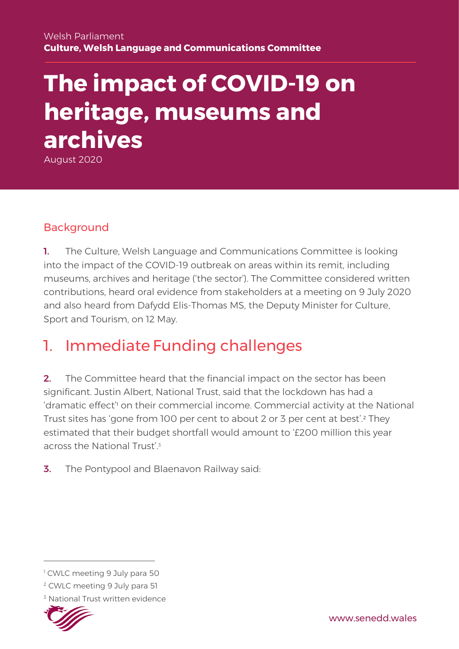# **The impact of COVID-19 on heritage, museums and archives**

August 2020

#### Background

1. The Culture, Welsh Language and Communications Committee is looking into the impact of the COVID-19 outbreak on areas within its remit, including museums, archives and heritage ('the sector'). The Committee considered written contributions, heard oral evidence from stakeholders at a meeting on 9 July 2020 and also heard from Dafydd Elis-Thomas MS, the Deputy Minister for Culture, Sport and Tourism, on 12 May.

# 1. Immediate Funding challenges

2. The Committee heard that the financial impact on the sector has been significant. Justin Albert, National Trust, said that the lockdown has had a 'dramatic effect'<sup>1</sup> on their commercial income. Commercial activity at the National Trust sites has 'gone from 100 per cent to about 2 or 3 per cent at best'.<sup>2</sup> They estimated that their budget shortfall would amount to '£200 million this year across the National Trust'<sup>3</sup>

**3.** The Pontypool and Blaenavon Railway said:

<sup>&</sup>lt;sup>3</sup> National Trust written evidence



<sup>&</sup>lt;sup>1</sup> CWLC meeting 9 July para 50

<sup>2</sup> CWLC meeting 9 July para 51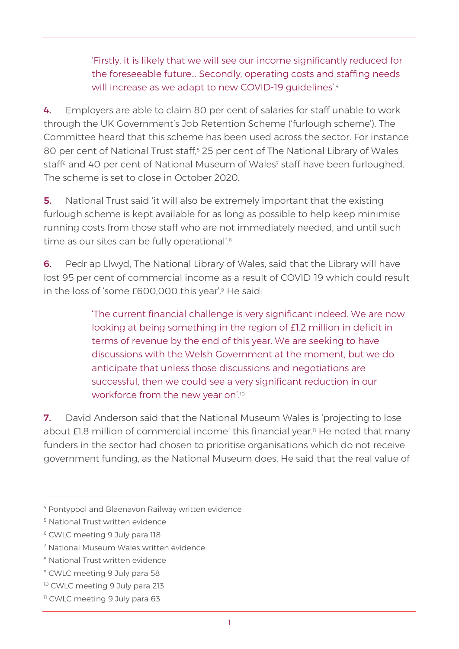'Firstly, it is likely that we will see our income significantly reduced for the foreseeable future… Secondly, operating costs and staffing needs will increase as we adapt to new COVID-19 guidelines'.<sup>4</sup>

4. Employers are able to claim 80 per cent of salaries for staff unable to work through the UK Government's Job Retention Scheme ('furlough scheme'). The Committee heard that this scheme has been used across the sector. For instance 80 per cent of National Trust staff,<sup>5</sup> 25 per cent of The National Library of Wales staff<sup>6</sup> and 40 per cent of National Museum of Wales<sup>7</sup> staff have been furloughed. The scheme is set to close in October 2020.

**5.** National Trust said 'it will also be extremely important that the existing furlough scheme is kept available for as long as possible to help keep minimise running costs from those staff who are not immediately needed, and until such time as our sites can be fully operational'.<sup>8</sup>

**6.** Pedr ap Llwyd, The National Library of Wales, said that the Library will have lost 95 per cent of commercial income as a result of COVID-19 which could result in the loss of 'some £600,000 this year'. <sup>9</sup> He said:

> 'The current financial challenge is very significant indeed. We are now looking at being something in the region of £1.2 million in deficit in terms of revenue by the end of this year. We are seeking to have discussions with the Welsh Government at the moment, but we do anticipate that unless those discussions and negotiations are successful, then we could see a very significant reduction in our workforce from the new year on'.<sup>10</sup>

**7.** David Anderson said that the National Museum Wales is 'projecting to lose about £1.8 million of commercial income' this financial year.<sup>11</sup> He noted that many funders in the sector had chosen to prioritise organisations which do not receive government funding, as the National Museum does. He said that the real value of

<sup>4</sup> Pontypool and Blaenavon Railway written evidence

<sup>5</sup> National Trust written evidence

<sup>6</sup> CWLC meeting 9 July para 118

<sup>7</sup> National Museum Wales written evidence

<sup>8</sup> National Trust written evidence

<sup>9</sup> CWLC meeting 9 July para 58

<sup>&</sup>lt;sup>10</sup> CWLC meeting 9 July para 213

<sup>&</sup>lt;sup>11</sup> CWLC meeting 9 July para 63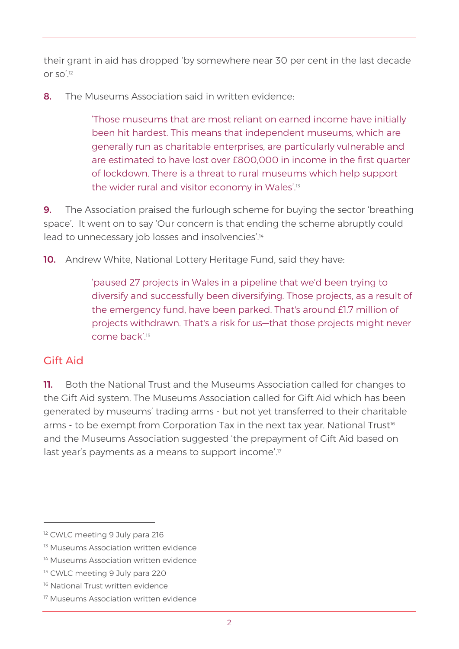their grant in aid has dropped 'by somewhere near 30 per cent in the last decade or so'.<sup>12</sup>

8. The Museums Association said in written evidence:

'Those museums that are most reliant on earned income have initially been hit hardest. This means that independent museums, which are generally run as charitable enterprises, are particularly vulnerable and are estimated to have lost over £800,000 in income in the first quarter of lockdown. There is a threat to rural museums which help support the wider rural and visitor economy in Wales'.<sup>13</sup>

**9.** The Association praised the furlough scheme for buying the sector 'breathing space'. It went on to say 'Our concern is that ending the scheme abruptly could lead to unnecessary job losses and insolvencies'.<sup>14</sup>

10. Andrew White, National Lottery Heritage Fund, said they have:

'paused 27 projects in Wales in a pipeline that we'd been trying to diversify and successfully been diversifying. Those projects, as a result of the emergency fund, have been parked. That's around £1.7 million of projects withdrawn. That's a risk for us—that those projects might never come back'<sup>15</sup>

#### Gift Aid

**11.** Both the National Trust and the Museums Association called for changes to the Gift Aid system. The Museums Association called for Gift Aid which has been generated by museums' trading arms - but not yet transferred to their charitable arms - to be exempt from Corporation Tax in the next tax year. National Trust<sup>16</sup> and the Museums Association suggested 'the prepayment of Gift Aid based on last year's payments as a means to support income'.<sup>17</sup>

<sup>&</sup>lt;sup>12</sup> CWLC meeting 9 July para 216

<sup>&</sup>lt;sup>13</sup> Museums Association written evidence

<sup>&</sup>lt;sup>14</sup> Museums Association written evidence

<sup>&</sup>lt;sup>15</sup> CWLC meeting 9 July para 220

<sup>&</sup>lt;sup>16</sup> National Trust written evidence

<sup>17</sup> Museums Association written evidence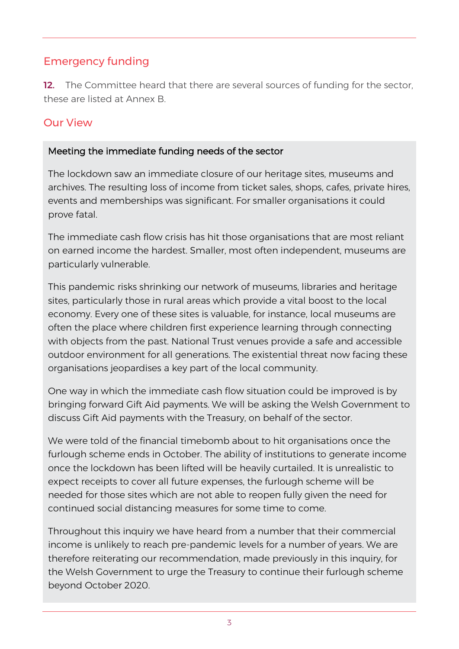#### Emergency funding

12. The Committee heard that there are several sources of funding for the sector, these are listed at Annex B.

#### Our View

#### Meeting the immediate funding needs of the sector

The lockdown saw an immediate closure of our heritage sites, museums and archives. The resulting loss of income from ticket sales, shops, cafes, private hires, events and memberships was significant. For smaller organisations it could prove fatal.

The immediate cash flow crisis has hit those organisations that are most reliant on earned income the hardest. Smaller, most often independent, museums are particularly vulnerable.

This pandemic risks shrinking our network of museums, libraries and heritage sites, particularly those in rural areas which provide a vital boost to the local economy. Every one of these sites is valuable, for instance, local museums are often the place where children first experience learning through connecting with objects from the past. National Trust venues provide a safe and accessible outdoor environment for all generations. The existential threat now facing these organisations jeopardises a key part of the local community.

One way in which the immediate cash flow situation could be improved is by bringing forward Gift Aid payments. We will be asking the Welsh Government to discuss Gift Aid payments with the Treasury, on behalf of the sector.

We were told of the financial timebomb about to hit organisations once the furlough scheme ends in October. The ability of institutions to generate income once the lockdown has been lifted will be heavily curtailed. It is unrealistic to expect receipts to cover all future expenses, the furlough scheme will be needed for those sites which are not able to reopen fully given the need for continued social distancing measures for some time to come.

Throughout this inquiry we have heard from a number that their commercial income is unlikely to reach pre-pandemic levels for a number of years. We are therefore reiterating our recommendation, made previously in this inquiry, for the Welsh Government to urge the Treasury to continue their furlough scheme beyond October 2020.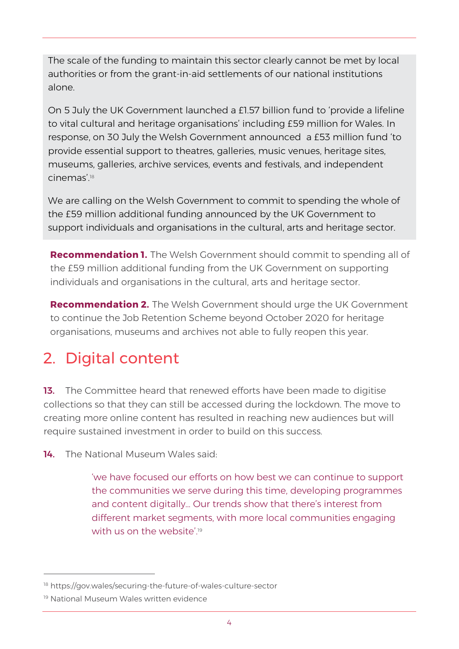The scale of the funding to maintain this sector clearly cannot be met by local authorities or from the grant-in-aid settlements of our national institutions alone.

On 5 July the UK Government launched a £1.57 billion fund to 'provide a lifeline to vital cultural and heritage organisations' including £59 million for Wales. In response, on 30 July the Welsh Government announced a £53 million fund 'to provide essential support to theatres, galleries, music venues, heritage sites, museums, galleries, archive services, events and festivals, and independent cinemas'<sup>18</sup>

We are calling on the Welsh Government to commit to spending the whole of the £59 million additional funding announced by the UK Government to support individuals and organisations in the cultural, arts and heritage sector.

**Recommendation 1.** The Welsh Government should commit to spending all of the £59 million additional funding from the UK Government on supporting individuals and organisations in the cultural, arts and heritage sector.

**Recommendation 2.** The Welsh Government should urge the UK Government to continue the Job Retention Scheme beyond October 2020 for heritage organisations, museums and archives not able to fully reopen this year.

# 2. Digital content

13. The Committee heard that renewed efforts have been made to digitise collections so that they can still be accessed during the lockdown. The move to creating more online content has resulted in reaching new audiences but will require sustained investment in order to build on this success.

14. The National Museum Wales said:

'we have focused our efforts on how best we can continue to support the communities we serve during this time, developing programmes and content digitally… Our trends show that there's interest from different market segments, with more local communities engaging with us on the website'. 19

<sup>18</sup> https://gov.wales/securing-the-future-of-wales-culture-sector

<sup>19</sup> National Museum Wales written evidence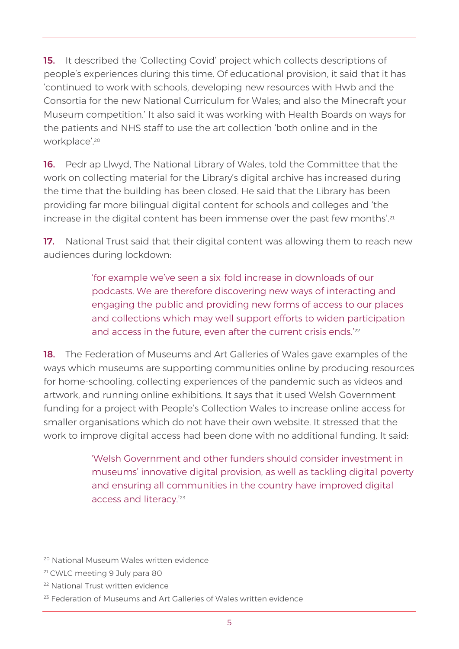15. It described the 'Collecting Covid' project which collects descriptions of people's experiences during this time. Of educational provision, it said that it has 'continued to work with schools, developing new resources with Hwb and the Consortia for the new National Curriculum for Wales; and also the Minecraft your Museum competition.' It also said it was working with Health Boards on ways for the patients and NHS staff to use the art collection 'both online and in the workplace'.<sup>20</sup>

16. Pedr ap Llwyd, The National Library of Wales, told the Committee that the work on collecting material for the Library's digital archive has increased during the time that the building has been closed. He said that the Library has been providing far more bilingual digital content for schools and colleges and 'the increase in the digital content has been immense over the past few months'. 21

17. National Trust said that their digital content was allowing them to reach new audiences during lockdown:

> 'for example we've seen a six-fold increase in downloads of our podcasts. We are therefore discovering new ways of interacting and engaging the public and providing new forms of access to our places and collections which may well support efforts to widen participation and access in the future, even after the current crisis ends.' 22

**18.** The Federation of Museums and Art Galleries of Wales gave examples of the ways which museums are supporting communities online by producing resources for home-schooling, collecting experiences of the pandemic such as videos and artwork, and running online exhibitions. It says that it used Welsh Government funding for a project with People's Collection Wales to increase online access for smaller organisations which do not have their own website. It stressed that the work to improve digital access had been done with no additional funding. It said:

> 'Welsh Government and other funders should consider investment in museums' innovative digital provision, as well as tackling digital poverty and ensuring all communities in the country have improved digital access and literacy.'<sup>23</sup>

<sup>20</sup> National Museum Wales written evidence

<sup>21</sup> CWLC meeting 9 July para 80

<sup>22</sup> National Trust written evidence

<sup>&</sup>lt;sup>23</sup> Federation of Museums and Art Galleries of Wales written evidence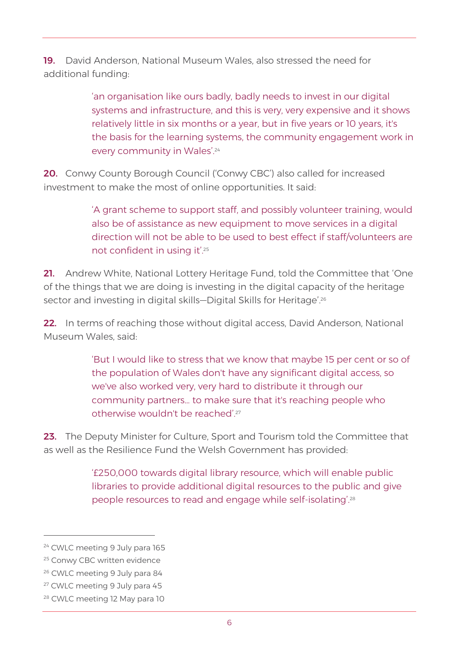19. David Anderson, National Museum Wales, also stressed the need for additional funding:

> 'an organisation like ours badly, badly needs to invest in our digital systems and infrastructure, and this is very, very expensive and it shows relatively little in six months or a year, but in five years or 10 years, it's the basis for the learning systems, the community engagement work in every community in Wales'.<sup>24</sup>

20. Conwy County Borough Council ('Conwy CBC') also called for increased investment to make the most of online opportunities. It said:

> 'A grant scheme to support staff, and possibly volunteer training, would also be of assistance as new equipment to move services in a digital direction will not be able to be used to best effect if staff/volunteers are not confident in using it'.<sup>25</sup>

21. Andrew White, National Lottery Heritage Fund, told the Committee that 'One of the things that we are doing is investing in the digital capacity of the heritage sector and investing in digital skills–Digital Skills for Heritage'.<sup>26</sup>

22. In terms of reaching those without digital access, David Anderson, National Museum Wales, said:

> 'But I would like to stress that we know that maybe 15 per cent or so of the population of Wales don't have any significant digital access, so we've also worked very, very hard to distribute it through our community partners… to make sure that it's reaching people who otherwise wouldn't be reached'<sup>27</sup>

23. The Deputy Minister for Culture, Sport and Tourism told the Committee that as well as the Resilience Fund the Welsh Government has provided:

> '£250,000 towards digital library resource, which will enable public libraries to provide additional digital resources to the public and give people resources to read and engage while self-isolating'.<sup>28</sup>

<sup>&</sup>lt;sup>24</sup> CWLC meeting 9 July para 165

<sup>&</sup>lt;sup>25</sup> Conwy CBC written evidence

<sup>26</sup> CWLC meeting 9 July para 84

<sup>27</sup> CWLC meeting 9 July para 45

<sup>28</sup> CWLC meeting 12 May para 10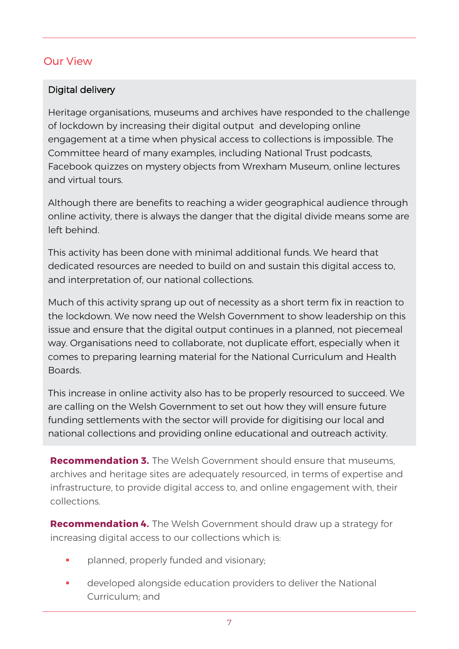#### Our View

#### Digital delivery

Heritage organisations, museums and archives have responded to the challenge of lockdown by increasing their digital output and developing online engagement at a time when physical access to collections is impossible. The Committee heard of many examples, including National Trust podcasts, Facebook quizzes on mystery objects from Wrexham Museum, online lectures and virtual tours.

Although there are benefits to reaching a wider geographical audience through online activity, there is always the danger that the digital divide means some are left behind.

This activity has been done with minimal additional funds. We heard that dedicated resources are needed to build on and sustain this digital access to, and interpretation of, our national collections.

Much of this activity sprang up out of necessity as a short term fix in reaction to the lockdown. We now need the Welsh Government to show leadership on this issue and ensure that the digital output continues in a planned, not piecemeal way. Organisations need to collaborate, not duplicate effort, especially when it comes to preparing learning material for the National Curriculum and Health Boards.

This increase in online activity also has to be properly resourced to succeed. We are calling on the Welsh Government to set out how they will ensure future funding settlements with the sector will provide for digitising our local and national collections and providing online educational and outreach activity.

**Recommendation 3.** The Welsh Government should ensure that museums, archives and heritage sites are adequately resourced, in terms of expertise and infrastructure, to provide digital access to, and online engagement with, their collections.

**Recommendation 4.** The Welsh Government should draw up a strategy for increasing digital access to our collections which is:

- planned, properly funded and visionary;
- developed alongside education providers to deliver the National Curriculum; and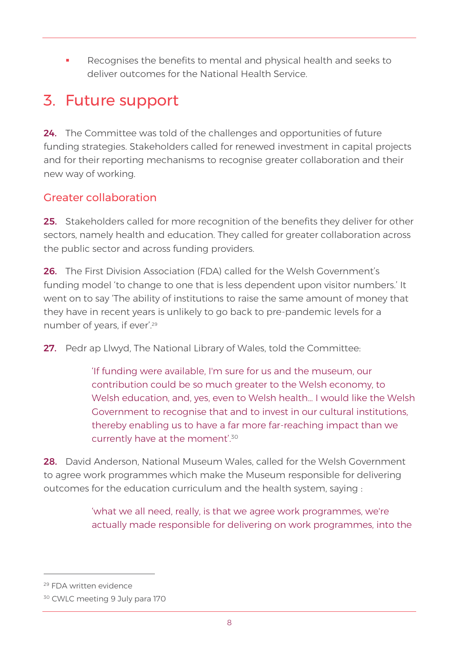Recognises the benefits to mental and physical health and seeks to deliver outcomes for the National Health Service.

### 3. Future support

24. The Committee was told of the challenges and opportunities of future funding strategies. Stakeholders called for renewed investment in capital projects and for their reporting mechanisms to recognise greater collaboration and their new way of working.

#### Greater collaboration

25. Stakeholders called for more recognition of the benefits they deliver for other sectors, namely health and education. They called for greater collaboration across the public sector and across funding providers.

26. The First Division Association (FDA) called for the Welsh Government's funding model 'to change to one that is less dependent upon visitor numbers.' It went on to say 'The ability of institutions to raise the same amount of money that they have in recent years is unlikely to go back to pre-pandemic levels for a number of years, if ever'.<sup>29</sup>

27. Pedr ap Llwyd, The National Library of Wales, told the Committee:

'If funding were available, I'm sure for us and the museum, our contribution could be so much greater to the Welsh economy, to Welsh education, and, yes, even to Welsh health… I would like the Welsh Government to recognise that and to invest in our cultural institutions, thereby enabling us to have a far more far-reaching impact than we currently have at the moment'.<sup>30</sup>

28. David Anderson, National Museum Wales, called for the Welsh Government to agree work programmes which make the Museum responsible for delivering outcomes for the education curriculum and the health system, saying :

> 'what we all need, really, is that we agree work programmes, we're actually made responsible for delivering on work programmes, into the

<sup>29</sup> FDA written evidence

<sup>30</sup> CWLC meeting 9 July para 170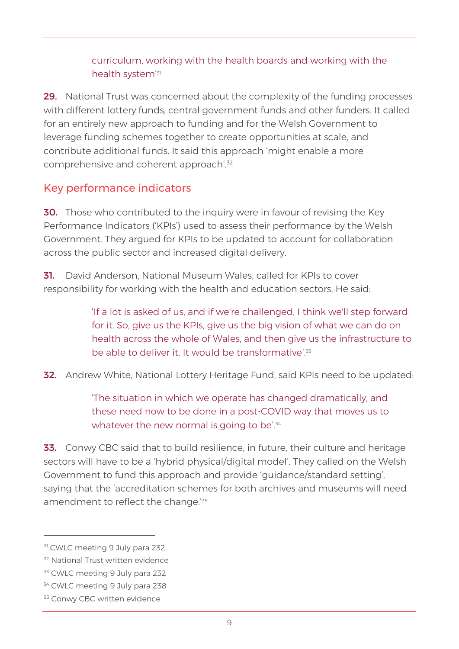curriculum, working with the health boards and working with the health system<sup>'s</sup>

29. National Trust was concerned about the complexity of the funding processes with different lottery funds, central government funds and other funders. It called for an entirely new approach to funding and for the Welsh Government to leverage funding schemes together to create opportunities at scale, and contribute additional funds. It said this approach 'might enable a more comprehensive and coherent approach'. 32

#### Key performance indicators

30. Those who contributed to the inquiry were in favour of revising the Key Performance Indicators ('KPIs') used to assess their performance by the Welsh Government. They argued for KPIs to be updated to account for collaboration across the public sector and increased digital delivery.

31. David Anderson, National Museum Wales, called for KPIs to cover responsibility for working with the health and education sectors. He said:

> 'If a lot is asked of us, and if we're challenged, I think we'll step forward for it. So, give us the KPIs, give us the big vision of what we can do on health across the whole of Wales, and then give us the infrastructure to be able to deliver it. It would be transformative'.<sup>33</sup>

32. Andrew White, National Lottery Heritage Fund, said KPIs need to be updated:

'The situation in which we operate has changed dramatically, and these need now to be done in a post-COVID way that moves us to whatever the new normal is going to be<sup>'.34</sup>

**33.** Conwy CBC said that to build resilience, in future, their culture and heritage sectors will have to be a 'hybrid physical/digital model'. They called on the Welsh Government to fund this approach and provide 'guidance/standard setting', saying that the 'accreditation schemes for both archives and museums will need amendment to reflect the change.<sup>'35</sup>

<sup>&</sup>lt;sup>31</sup> CWLC meeting 9 July para 232

<sup>&</sup>lt;sup>32</sup> National Trust written evidence

<sup>&</sup>lt;sup>33</sup> CWLC meeting 9 July para 232

<sup>&</sup>lt;sup>34</sup> CWLC meeting 9 July para 238

<sup>&</sup>lt;sup>35</sup> Conwy CBC written evidence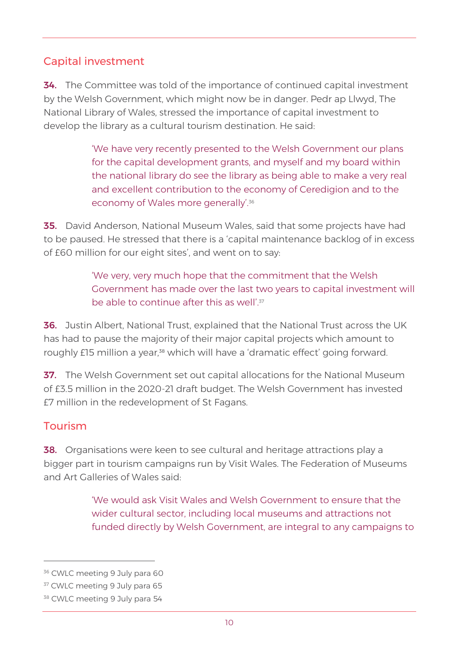#### Capital investment

34. The Committee was told of the importance of continued capital investment by the Welsh Government, which might now be in danger. Pedr ap Llwyd, The National Library of Wales, stressed the importance of capital investment to develop the library as a cultural tourism destination. He said:

> 'We have very recently presented to the Welsh Government our plans for the capital development grants, and myself and my board within the national library do see the library as being able to make a very real and excellent contribution to the economy of Ceredigion and to the economy of Wales more generally'.<sup>36</sup>

**35.** David Anderson, National Museum Wales, said that some projects have had to be paused. He stressed that there is a 'capital maintenance backlog of in excess of £60 million for our eight sites', and went on to say:

> 'We very, very much hope that the commitment that the Welsh Government has made over the last two years to capital investment will be able to continue after this as well'.<sup>37</sup>

36. Justin Albert, National Trust, explained that the National Trust across the UK has had to pause the majority of their major capital projects which amount to roughly £15 million a year,<sup>38</sup> which will have a 'dramatic effect' going forward.

37. The Welsh Government set out capital allocations for the National Museum of £3.5 million in the 2020-21 draft budget. The Welsh Government has invested £7 million in the redevelopment of St Fagans.

#### Tourism

38. Organisations were keen to see cultural and heritage attractions play a bigger part in tourism campaigns run by Visit Wales. The Federation of Museums and Art Galleries of Wales said:

> 'We would ask Visit Wales and Welsh Government to ensure that the wider cultural sector, including local museums and attractions not funded directly by Welsh Government, are integral to any campaigns to

<sup>&</sup>lt;sup>36</sup> CWLC meeting 9 July para 60

<sup>&</sup>lt;sup>37</sup> CWLC meeting 9 July para 65

<sup>&</sup>lt;sup>38</sup> CWLC meeting 9 July para 54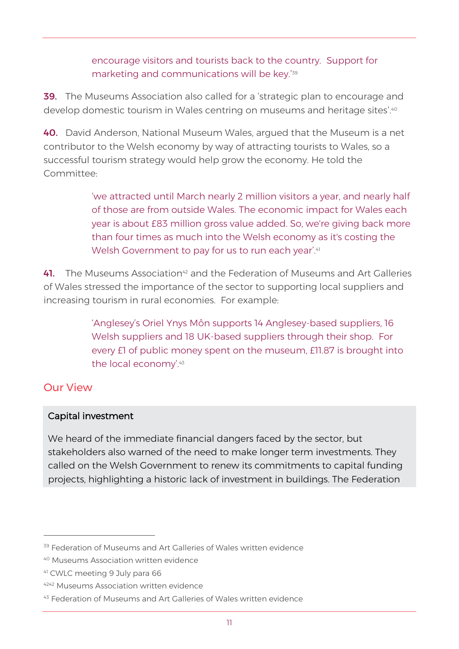encourage visitors and tourists back to the country. Support for marketing and communications will be key.' 39

**39.** The Museums Association also called for a 'strategic plan to encourage and develop domestic tourism in Wales centring on museums and heritage sites'.<sup>40</sup>

40. David Anderson, National Museum Wales, argued that the Museum is a net contributor to the Welsh economy by way of attracting tourists to Wales, so a successful tourism strategy would help grow the economy. He told the Committee:

> 'we attracted until March nearly 2 million visitors a year, and nearly half of those are from outside Wales. The economic impact for Wales each year is about £83 million gross value added. So, we're giving back more than four times as much into the Welsh economy as it's costing the Welsh Government to pay for us to run each year'.<sup>41</sup>

41. The Museums Association<sup>42</sup> and the Federation of Museums and Art Galleries of Wales stressed the importance of the sector to supporting local suppliers and increasing tourism in rural economies. For example:

> 'Anglesey's Oriel Ynys Môn supports 14 Anglesey-based suppliers, 16 Welsh suppliers and 18 UK-based suppliers through their shop. For every £1 of public money spent on the museum, £11.87 is brought into the local economy'. 43

#### Our View

#### Capital investment

We heard of the immediate financial dangers faced by the sector, but stakeholders also warned of the need to make longer term investments. They called on the Welsh Government to renew its commitments to capital funding projects, highlighting a historic lack of investment in buildings. The Federation

<sup>&</sup>lt;sup>39</sup> Federation of Museums and Art Galleries of Wales written evidence

<sup>40</sup> Museums Association written evidence

<sup>41</sup> CWLC meeting 9 July para 66

<sup>4242</sup> Museums Association written evidence

<sup>43</sup> Federation of Museums and Art Galleries of Wales written evidence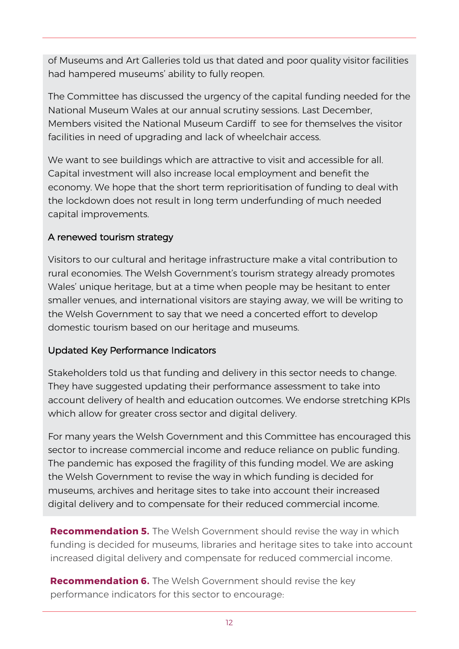of Museums and Art Galleries told us that dated and poor quality visitor facilities had hampered museums' ability to fully reopen.

The Committee has discussed the urgency of the capital funding needed for the National Museum Wales at our annual scrutiny sessions. Last December, Members visited the National Museum Cardiff to see for themselves the visitor facilities in need of upgrading and lack of wheelchair access.

We want to see buildings which are attractive to visit and accessible for all. Capital investment will also increase local employment and benefit the economy. We hope that the short term reprioritisation of funding to deal with the lockdown does not result in long term underfunding of much needed capital improvements.

#### A renewed tourism strategy

Visitors to our cultural and heritage infrastructure make a vital contribution to rural economies. The Welsh Government's tourism strategy already promotes Wales' unique heritage, but at a time when people may be hesitant to enter smaller venues, and international visitors are staying away, we will be writing to the Welsh Government to say that we need a concerted effort to develop domestic tourism based on our heritage and museums.

#### Updated Key Performance Indicators

Stakeholders told us that funding and delivery in this sector needs to change. They have suggested updating their performance assessment to take into account delivery of health and education outcomes. We endorse stretching KPIs which allow for greater cross sector and digital delivery.

For many years the Welsh Government and this Committee has encouraged this sector to increase commercial income and reduce reliance on public funding. The pandemic has exposed the fragility of this funding model. We are asking the Welsh Government to revise the way in which funding is decided for museums, archives and heritage sites to take into account their increased digital delivery and to compensate for their reduced commercial income.

**Recommendation 5.** The Welsh Government should revise the way in which funding is decided for museums, libraries and heritage sites to take into account increased digital delivery and compensate for reduced commercial income.

**Recommendation 6.** The Welsh Government should revise the key performance indicators for this sector to encourage: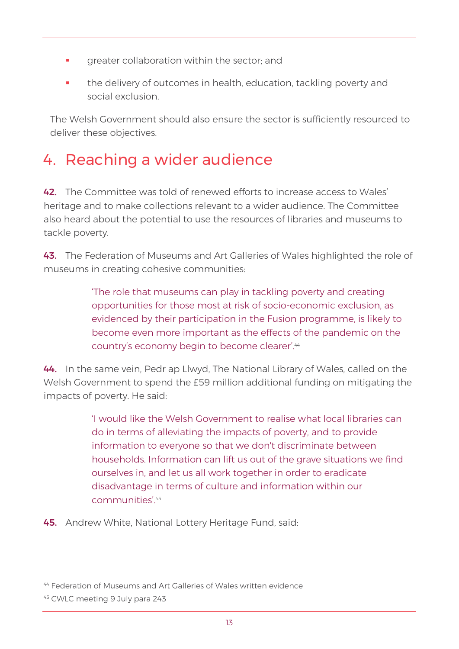- **•** greater collaboration within the sector; and
- **•** the delivery of outcomes in health, education, tackling poverty and social exclusion.

The Welsh Government should also ensure the sector is sufficiently resourced to deliver these objectives.

# 4. Reaching a wider audience

42. The Committee was told of renewed efforts to increase access to Wales' heritage and to make collections relevant to a wider audience. The Committee also heard about the potential to use the resources of libraries and museums to tackle poverty.

43. The Federation of Museums and Art Galleries of Wales highlighted the role of museums in creating cohesive communities:

> 'The role that museums can play in tackling poverty and creating opportunities for those most at risk of socio-economic exclusion, as evidenced by their participation in the Fusion programme, is likely to become even more important as the effects of the pandemic on the country's economy begin to become clearer'.<sup>44</sup>

44. In the same vein, Pedr ap Llwyd, The National Library of Wales, called on the Welsh Government to spend the £59 million additional funding on mitigating the impacts of poverty. He said:

> 'I would like the Welsh Government to realise what local libraries can do in terms of alleviating the impacts of poverty, and to provide information to everyone so that we don't discriminate between households. Information can lift us out of the grave situations we find ourselves in, and let us all work together in order to eradicate disadvantage in terms of culture and information within our communities'.<sup>45</sup>

45. Andrew White, National Lottery Heritage Fund, said:

<sup>&</sup>lt;sup>44</sup> Federation of Museums and Art Galleries of Wales written evidence

<sup>45</sup> CWLC meeting 9 July para 243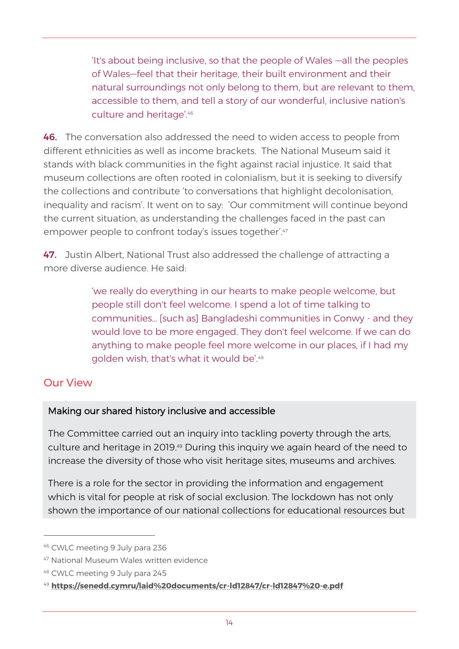'It's about being inclusive, so that the people of Wales —all the peoples of Wales—feel that their heritage, their built environment and their natural surroundings not only belong to them, but are relevant to them, accessible to them, and tell a story of our wonderful, inclusive nation's culture and heritage'.<sup>46</sup>

46. The conversation also addressed the need to widen access to people from different ethnicities as well as income brackets. The National Museum said it stands with black communities in the fight against racial injustice. It said that museum collections are often rooted in colonialism, but it is seeking to diversify the collections and contribute 'to conversations that highlight decolonisation, inequality and racism'. It went on to say: 'Our commitment will continue beyond the current situation, as understanding the challenges faced in the past can empower people to confront today's issues together'.47

47. Justin Albert, National Trust also addressed the challenge of attracting a more diverse audience. He said:

> 'we really do everything in our hearts to make people welcome, but people still don't feel welcome. I spend a lot of time talking to communities… [such as] Bangladeshi communities in Conwy - and they would love to be more engaged. They don't feel welcome. If we can do anything to make people feel more welcome in our places, if I had my golden wish, that's what it would be'.<sup>48</sup>

#### Our View

#### Making our shared history inclusive and accessible

The Committee carried out an inquiry into tackling poverty through the arts, culture and heritage in 2019.<sup>49</sup> During this inquiry we again heard of the need to increase the diversity of those who visit heritage sites, museums and archives.

There is a role for the sector in providing the information and engagement which is vital for people at risk of social exclusion. The lockdown has not only shown the importance of our national collections for educational resources but

<sup>46</sup> CWLC meeting 9 July para 236

<sup>47</sup> National Museum Wales written evidence

<sup>48</sup> CWLC meeting 9 July para 245

<sup>49</sup> **<https://senedd.cymru/laid%20documents/cr-ld12847/cr-ld12847%20-e.pdf>**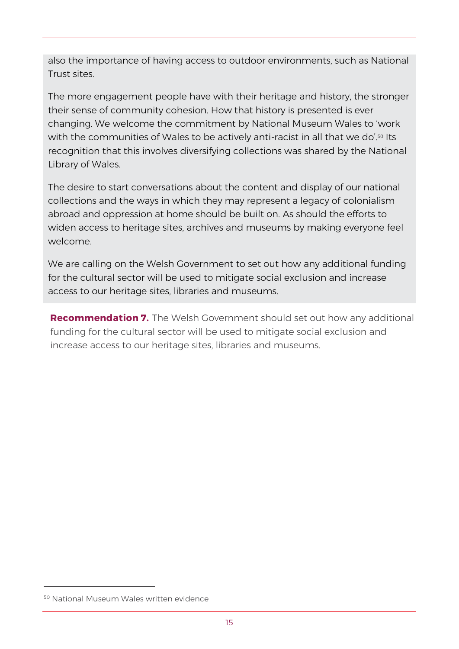also the importance of having access to outdoor environments, such as National Trust sites.

The more engagement people have with their heritage and history, the stronger their sense of community cohesion. How that history is presented is ever changing. We welcome the commitment by National Museum Wales to 'work with the communities of Wales to be actively anti-racist in all that we do'.<sup>50</sup> Its recognition that this involves diversifying collections was shared by the National Library of Wales.

The desire to start conversations about the content and display of our national collections and the ways in which they may represent a legacy of colonialism abroad and oppression at home should be built on. As should the efforts to widen access to heritage sites, archives and museums by making everyone feel welcome.

We are calling on the Welsh Government to set out how any additional funding for the cultural sector will be used to mitigate social exclusion and increase access to our heritage sites, libraries and museums.

**Recommendation 7.** The Welsh Government should set out how any additional funding for the cultural sector will be used to mitigate social exclusion and increase access to our heritage sites, libraries and museums.

<sup>50</sup> National Museum Wales written evidence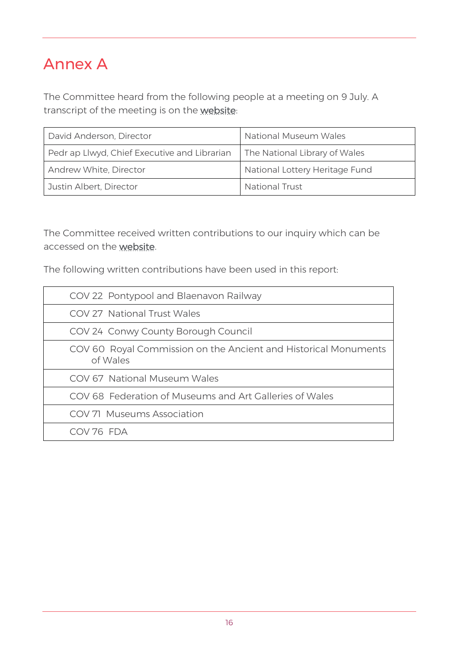### Annex A

The Committee heard from the following people at a meeting on 9 July. A transcript of the meeting is on the [website:](https://record.assembly.wales/Committee/6408)

| David Anderson, Director                     | National Museum Wales          |
|----------------------------------------------|--------------------------------|
| Pedr ap Llwyd, Chief Executive and Librarian | The National Library of Wales  |
| Andrew White, Director                       | National Lottery Heritage Fund |
| Justin Albert, Director                      | <b>National Trust</b>          |

The Committee received written contributions to our inquiry which can be accessed on the [website.](https://business.senedd.wales/mgConsultationDisplay.aspx?id=397&RPID=1017890779&cp=yes)

The following written contributions have been used in this report:

| COV 22 Pontypool and Blaenavon Railway                                      |
|-----------------------------------------------------------------------------|
| <b>COV 27 National Trust Wales</b>                                          |
| COV 24 Conwy County Borough Council                                         |
| COV 60 Royal Commission on the Ancient and Historical Monuments<br>of Wales |
| COV 67 National Museum Wales                                                |
| COV 68 Federation of Museums and Art Galleries of Wales                     |
| COV 71 Museums Association                                                  |
| COV 76 FDA                                                                  |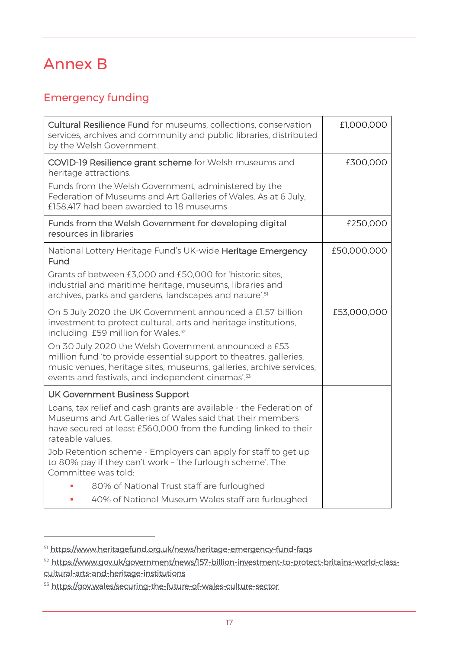## Annex B

#### Emergency funding

| Cultural Resilience Fund for museums, collections, conservation<br>services, archives and community and public libraries, distributed<br>by the Welsh Government.                                                                                                  | £1,000,000  |
|--------------------------------------------------------------------------------------------------------------------------------------------------------------------------------------------------------------------------------------------------------------------|-------------|
| COVID-19 Resilience grant scheme for Welsh museums and<br>heritage attractions.                                                                                                                                                                                    | £300,000    |
| Funds from the Welsh Government, administered by the<br>Federation of Museums and Art Galleries of Wales. As at 6 July,<br>£158,417 had been awarded to 18 museums                                                                                                 |             |
| Funds from the Welsh Government for developing digital<br>resources in libraries                                                                                                                                                                                   | £250,000    |
| National Lottery Heritage Fund's UK-wide Heritage Emergency<br>Fund                                                                                                                                                                                                | £50,000,000 |
| Grants of between £3,000 and £50,000 for 'historic sites,<br>industrial and maritime heritage, museums, libraries and<br>archives, parks and gardens, landscapes and nature'. <sup>51</sup>                                                                        |             |
| On 5 July 2020 the UK Government announced a £1.57 billion<br>investment to protect cultural, arts and heritage institutions,<br>including £59 million for Wales. <sup>52</sup>                                                                                    | £53,000,000 |
| On 30 July 2020 the Welsh Government announced a £53<br>million fund 'to provide essential support to theatres, galleries,<br>music venues, heritage sites, museums, galleries, archive services,<br>events and festivals, and independent cinemas'. <sup>53</sup> |             |
| <b>UK Government Business Support</b>                                                                                                                                                                                                                              |             |
| Loans, tax relief and cash grants are available - the Federation of<br>Museums and Art Galleries of Wales said that their members<br>have secured at least £560,000 from the funding linked to their<br>rateable values.                                           |             |
| Job Retention scheme - Employers can apply for staff to get up<br>to 80% pay if they can't work - 'the furlough scheme'. The<br>Committee was told:                                                                                                                |             |
| 80% of National Trust staff are furloughed                                                                                                                                                                                                                         |             |
| 40% of National Museum Wales staff are furloughed                                                                                                                                                                                                                  |             |

<sup>51</sup> <https://www.heritagefund.org.uk/news/heritage-emergency-fund-faqs>

<sup>52</sup> [https://www.gov.uk/government/news/157-billion-investment-to-protect-britains-world-class](https://www.gov.uk/government/news/157-billion-investment-to-protect-britains-world-class-cultural-arts-and-heritage-institutions)[cultural-arts-and-heritage-institutions](https://www.gov.uk/government/news/157-billion-investment-to-protect-britains-world-class-cultural-arts-and-heritage-institutions)

<sup>53</sup> <https://gov.wales/securing-the-future-of-wales-culture-sector>